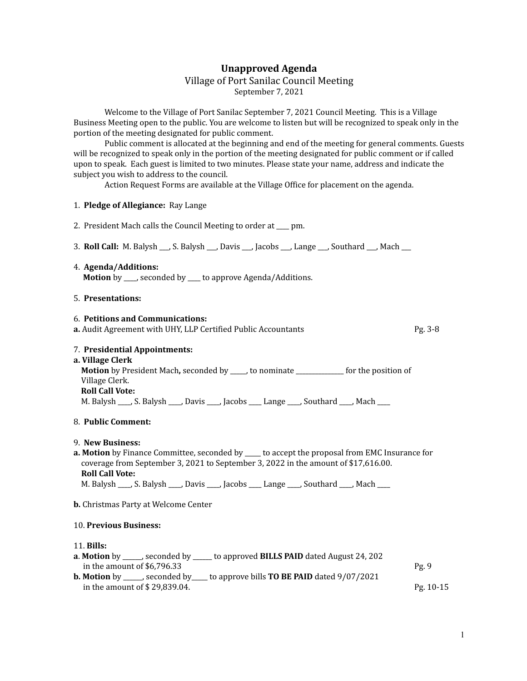# **Unapproved Agenda**

## Village of Port Sanilac Council Meeting September 7, 2021

Welcome to the Village of Port Sanilac September 7, 2021 Council Meeting. This is a Village Business Meeting open to the public. You are welcome to listen but will be recognized to speak only in the portion of the meeting designated for public comment.

Public comment is allocated at the beginning and end of the meeting for general comments. Guests will be recognized to speak only in the portion of the meeting designated for public comment or if called upon to speak. Each guest is limited to two minutes. Please state your name, address and indicate the subject you wish to address to the council.

Action Request Forms are available at the Village Office for placement on the agenda.

#### 1. **Pledge of Allegiance:** Ray Lange

- 2. President Mach calls the Council Meeting to order at \_\_\_\_ pm.
- 3. **Roll Call:** M. Balysh \_\_\_, S. Balysh \_\_\_, Davis \_\_\_, Jacobs \_\_\_, Lange \_\_\_, Southard \_\_\_, Mach \_\_\_
- 4. **Agenda/Additions: Motion** by \_\_\_\_, seconded by \_\_\_\_ to approve Agenda/Additions.

### 5. **Presentations:**

# 6. **Petitions and Communications: a.** Audit Agreement with UHY, LLP Certified Public Accountants **Pg. 3-8** Pg. 3-8 7. **Presidential Appointments: a. Village Clerk Motion** by President Mach**,** seconded by \_\_\_\_\_, to nominate \_\_\_\_\_\_\_\_\_\_\_\_\_\_\_ for the position of Village Clerk. **Roll Call Vote:** M. Balysh \_\_\_\_, S. Balysh \_\_\_\_, Davis \_\_\_\_, Jacobs \_\_\_\_ Lange \_\_\_\_, Southard \_\_\_\_, Mach \_\_\_\_ 8. **Public Comment:** 9. **New Business: a. Motion** by Finance Committee, seconded by \_\_\_\_\_ to accept the proposal from EMC Insurance for coverage from September 3, 2021 to September 3, 2022 in the amount of \$17,616.00. **Roll Call Vote:** M. Balysh \_\_\_\_, S. Balysh \_\_\_\_, Davis \_\_\_\_, Jacobs \_\_\_\_ Lange \_\_\_\_, Southard \_\_\_\_, Mach \_\_\_\_ **b.** Christmas Party at Welcome Center 10. **Previous Business:**

#### 11. **Bills:**

| <b>a. Motion</b> by _____, seconded by _____ to approved <b>BILLS PAID</b> dated August 24, 202  |             |
|--------------------------------------------------------------------------------------------------|-------------|
| in the amount of \$6.796.33                                                                      | Pg9         |
| <b>b.</b> Motion by _____, seconded by ____ to approve bills <b>TO BE PAID</b> dated $9/07/2021$ |             |
| in the amount of \$29,839.04.                                                                    | $Pg. 10-15$ |